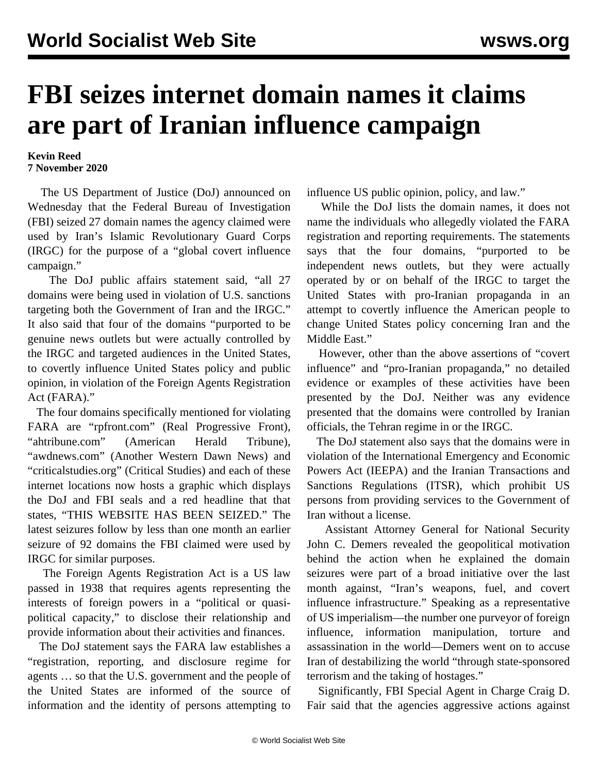## **FBI seizes internet domain names it claims are part of Iranian influence campaign**

## **Kevin Reed 7 November 2020**

 The US Department of Justice (DoJ) announced on Wednesday that the Federal Bureau of Investigation (FBI) seized 27 domain names the agency claimed were used by Iran's Islamic Revolutionary Guard Corps (IRGC) for the purpose of a "global covert influence campaign."

 The DoJ public affairs statement said, "all 27 domains were being used in violation of U.S. sanctions targeting both the Government of Iran and the IRGC." It also said that four of the domains "purported to be genuine news outlets but were actually controlled by the IRGC and targeted audiences in the United States, to covertly influence United States policy and public opinion, in violation of the Foreign Agents Registration Act (FARA)."

 The four domains specifically mentioned for violating FARA are "rpfront.com" (Real Progressive Front), "ahtribune.com" (American Herald Tribune), "awdnews.com" (Another Western Dawn News) and "criticalstudies.org" (Critical Studies) and each of these internet locations now hosts a graphic which displays the DoJ and FBI seals and a red headline that that states, "THIS WEBSITE HAS BEEN SEIZED." The latest seizures follow by less than one month an earlier seizure of 92 domains the FBI claimed were used by IRGC for similar purposes.

 The Foreign Agents Registration Act is a US law passed in 1938 that requires agents representing the interests of foreign powers in a "political or quasipolitical capacity," to disclose their relationship and provide information about their activities and finances.

 The DoJ statement says the FARA law establishes a "registration, reporting, and disclosure regime for agents … so that the U.S. government and the people of the United States are informed of the source of information and the identity of persons attempting to

influence US public opinion, policy, and law."

 While the DoJ lists the domain names, it does not name the individuals who allegedly violated the FARA registration and reporting requirements. The statements says that the four domains, "purported to be independent news outlets, but they were actually operated by or on behalf of the IRGC to target the United States with pro-Iranian propaganda in an attempt to covertly influence the American people to change United States policy concerning Iran and the Middle East."

 However, other than the above assertions of "covert influence" and "pro-Iranian propaganda," no detailed evidence or examples of these activities have been presented by the DoJ. Neither was any evidence presented that the domains were controlled by Iranian officials, the Tehran regime in or the IRGC.

 The DoJ statement also says that the domains were in violation of the International Emergency and Economic Powers Act (IEEPA) and the Iranian Transactions and Sanctions Regulations (ITSR), which prohibit US persons from providing services to the Government of Iran without a license.

 Assistant Attorney General for National Security John C. Demers revealed the geopolitical motivation behind the action when he explained the domain seizures were part of a broad initiative over the last month against, "Iran's weapons, fuel, and covert influence infrastructure." Speaking as a representative of US imperialism—the number one purveyor of foreign influence, information manipulation, torture and assassination in the world—Demers went on to accuse Iran of destabilizing the world "through state-sponsored terrorism and the taking of hostages."

 Significantly, FBI Special Agent in Charge Craig D. Fair said that the agencies aggressive actions against